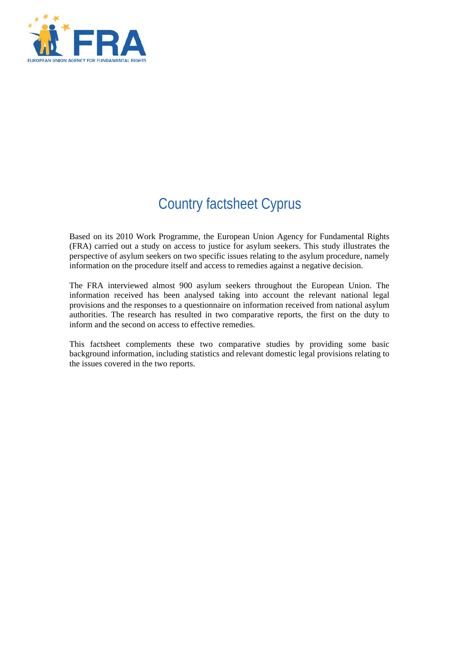

# Country factsheet Cyprus

Based on its 2010 Work Programme, the European Union Agency for Fundamental Rights (FRA) carried out a study on access to justice for asylum seekers. This study illustrates the perspective of asylum seekers on two specific issues relating to the asylum procedure, namely information on the procedure itself and access to remedies against a negative decision.

The FRA interviewed almost 900 asylum seekers throughout the European Union. The information received has been analysed taking into account the relevant national legal provisions and the responses to a questionnaire on information received from national asylum authorities. The research has resulted in two comparative reports, the first on the duty to inform and the second on access to effective remedies.

This factsheet complements these two comparative studies by providing some basic background information, including statistics and relevant domestic legal provisions relating to the issues covered in the two reports.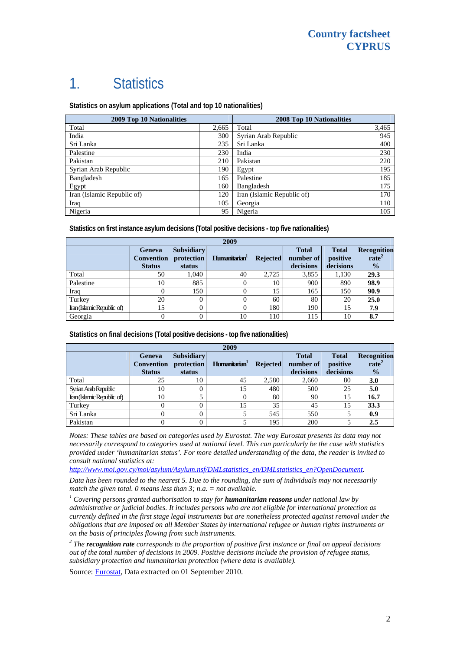## 1. Statistics

**Statistics on asylum applications (Total and top 10 nationalities)**

| <b>2009 Top 10 Nationalities</b> | 2008 Top 10 Nationalities |                            |       |
|----------------------------------|---------------------------|----------------------------|-------|
| Total                            | 2,665                     | Total                      | 3,465 |
| India                            | 300                       | Syrian Arab Republic       | 945   |
| Sri Lanka                        | 235                       | Sri Lanka                  | 400   |
| Palestine                        | 230                       | India                      | 230   |
| Pakistan                         | 210                       | Pakistan                   | 220   |
| Syrian Arab Republic             | 190                       | Egypt                      | 195   |
| Bangladesh                       | 165                       | Palestine                  | 185   |
| Egypt                            | 160                       | Bangladesh                 | 175   |
| Iran (Islamic Republic of)       | 120                       | Iran (Islamic Republic of) | 170   |
| Iraq                             | 105                       | Georgia                    | 110   |
| Nigeria                          | 95                        | Nigeria                    | 105   |

**Statistics on first instance asylum decisions (Total positive decisions - top five nationalities)**

| 2009                       |                                              |                                           |                           |                 |                                        |                                       |                                                   |
|----------------------------|----------------------------------------------|-------------------------------------------|---------------------------|-----------------|----------------------------------------|---------------------------------------|---------------------------------------------------|
|                            | Geneva<br><b>Convention</b><br><b>Status</b> | <b>Subsidiary</b><br>protection<br>status | Humanitarian <sup>1</sup> | <b>Rejected</b> | <b>Total</b><br>number of<br>decisions | <b>Total</b><br>positive<br>decisions | Recognition<br>rate <sup>2</sup><br>$\frac{1}{2}$ |
| Total                      | 50                                           | 1.040                                     | 40                        | 2.725           | 3,855                                  | 1,130                                 | 29.3                                              |
| Palestine                  | 10                                           | 885                                       |                           | 10              | 900                                    | 890                                   | 98.9                                              |
| Iraq                       | 0                                            | 150                                       |                           | 15              | 165                                    | 150                                   | 90.9                                              |
| Turkey                     | 20                                           |                                           |                           | 60              | 80                                     | 20                                    | 25.0                                              |
| Iran (Islamic Republic of) | 15                                           |                                           |                           | 180             | 190                                    | 15                                    | 7.9                                               |
| Georgia                    | 0                                            |                                           | 10                        | 110             | 115                                    | 10                                    | 8.7                                               |

**Statistics on final decisions (Total positive decisions - top five nationalities)** 

| 2009                       |                                                     |                                           |                           |                 |                                        |                                       |                                                   |
|----------------------------|-----------------------------------------------------|-------------------------------------------|---------------------------|-----------------|----------------------------------------|---------------------------------------|---------------------------------------------------|
|                            | <b>Geneva</b><br><b>Convention</b><br><b>Status</b> | <b>Subsidiary</b><br>protection<br>status | Humanitarian <sup>1</sup> | <b>Rejected</b> | <b>Total</b><br>number of<br>decisions | <b>Total</b><br>positive<br>decisions | Recognition<br>rate <sup>2</sup><br>$\frac{0}{0}$ |
| Total                      | 25                                                  | 10                                        | 45                        | 2,580           | 2,660                                  | 80                                    | 3.0                                               |
| Synan Arab Republic        | 10                                                  |                                           | 15                        | 480             | 500                                    | 25                                    | 5.0                                               |
| Iran (Islamic Republic of) | 10                                                  |                                           |                           | 80              | 90                                     | 15                                    | 16.7                                              |
| Turkey                     | 0                                                   |                                           | 15                        | 35              | 45                                     | 15                                    | 33.3                                              |
| Sri Lanka                  | 0                                                   |                                           |                           | 545             | 550                                    |                                       | 0.9                                               |
| Pakistan                   |                                                     |                                           |                           | 195             | 200                                    |                                       | 2.5                                               |

*Notes: These tables are based on categories used by Eurostat. The way Eurostat presents its data may not necessarily correspond to categories used at national level. This can particularly be the case with statistics provided under 'humanitarian status'. For more detailed understanding of the data, the reader is invited to consult national statistics at:*

*[http://www.moi.gov.cy/moi/asylum/Asylum.nsf/DMLstatistics\\_en/DMLstatistics\\_en?OpenDocument.](http://www.moi.gov.cy/moi/asylum/Asylum.nsf/DMLstatistics_en/DMLstatistics_en?OpenDocument)* 

*Data has been rounded to the nearest 5. Due to the rounding, the sum of individuals may not necessarily match the given total. 0 means less than 3; n.a. = not available.* 

<sup>1</sup> Covering persons granted authorisation to stay for **humanitarian reasons** under national law by *administrative or judicial bodies. It includes persons who are not eligible for international protection as currently defined in the first stage legal instruments but are nonetheless protected against removal under the obligations that are imposed on all Member States by international refugee or human rights instruments or on the basis of principles flowing from such instruments.* 

*2 The recognition rate corresponds to the proportion of positive first instance or final on appeal decisions out of the total number of decisions in 2009. Positive decisions include the provision of refugee status, subsidiary protection and humanitarian protection (where data is available).* 

Source: **[Eurostat](http://epp.eurostat.ec.europa.eu/)**, Data extracted on 01 September 2010.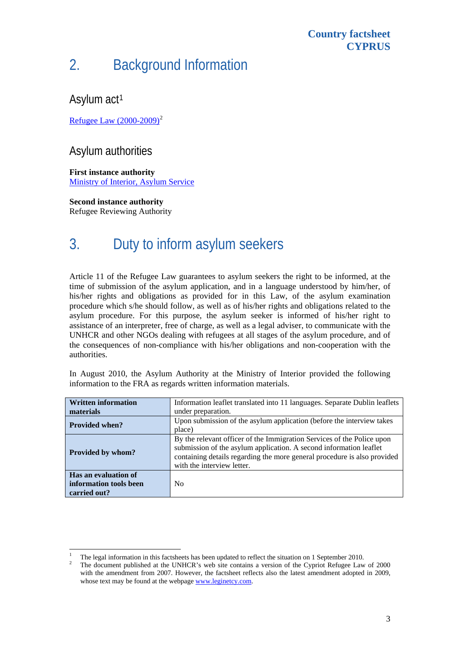#### **Country factsheet CYPRUS**

## 2. Background Information

Asylum act<sup>[1](#page-2-0)</sup>

l

[Refugee Law \(2000-2009\)](http://www.unhcr.org/refworld/category,LEGAL,,,CYP,4a71aac22,0.html)<sup>[2](#page-2-1)</sup>

### Asylum authorities

**First instance authority**  [Ministry of Interior, Asylum Service](http://www.moi.gov.cy/moi/asylum/Asylum.nsf/DMLindex_gr/DMLindex_gr?OpenDocument)

**Second instance authority** 

Refugee Reviewing Authority

## 3. Duty to inform asylum seekers

Article 11 of the Refugee Law guarantees to asylum seekers the right to be informed, at the time of submission of the asylum application, and in a language understood by him/her, of his/her rights and obligations as provided for in this Law, of the asylum examination procedure which s/he should follow, as well as of his/her rights and obligations related to the asylum procedure. For this purpose, the asylum seeker is informed of his/her right to assistance of an interpreter, free of charge, as well as a legal adviser, to communicate with the UNHCR and other NGOs dealing with refugees at all stages of the asylum procedure, and of the consequences of non-compliance with his/her obligations and non-cooperation with the authorities.

In August 2010, the Asylum Authority at the Ministry of Interior provided the following information to the FRA as regards written information materials.

| <b>Written information</b>                                     | Information leaflet translated into 11 languages. Separate Dublin leaflets                                                                                                                                                                             |  |  |  |
|----------------------------------------------------------------|--------------------------------------------------------------------------------------------------------------------------------------------------------------------------------------------------------------------------------------------------------|--|--|--|
| materials                                                      | under preparation.                                                                                                                                                                                                                                     |  |  |  |
| <b>Provided when?</b>                                          | Upon submission of the asylum application (before the interview takes<br>place)                                                                                                                                                                        |  |  |  |
| Provided by whom?                                              | By the relevant officer of the Immigration Services of the Police upon<br>submission of the asylum application. A second information leaflet<br>containing details regarding the more general procedure is also provided<br>with the interview letter. |  |  |  |
| Has an evaluation of<br>information tools been<br>carried out? | N <sub>0</sub>                                                                                                                                                                                                                                         |  |  |  |

<span id="page-2-1"></span><span id="page-2-0"></span><sup>1</sup> <sup>1</sup> The legal information in this factsheets has been updated to reflect the situation on 1 September 2010.<br><sup>2</sup> The document published at the UNHCR's web site contains a version of the Cypriot Befugee I aw

The document published at the UNHCR's web site contains a version of the Cypriot Refugee Law of 2000 with the amendment from 2007. However, the factsheet reflects also the latest amendment adopted in 2009, whose text may be found at the webpage [www.leginetcy.com.](http://www.leginetcy.com/)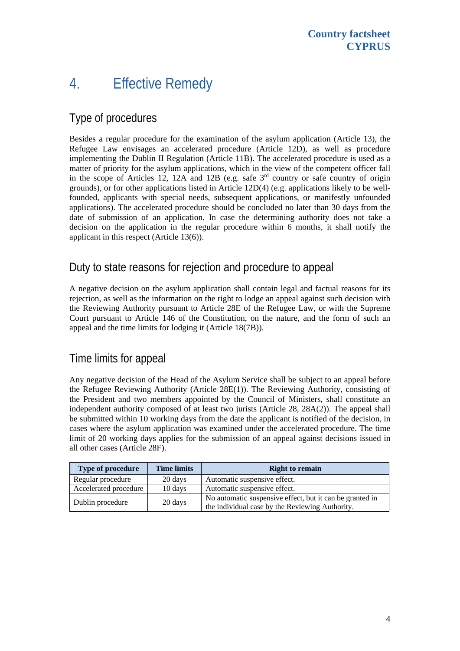## 4. Effective Remedy

### Type of procedures

Besides a regular procedure for the examination of the asylum application (Article 13), the Refugee Law envisages an accelerated procedure (Article 12D), as well as procedure implementing the Dublin II Regulation (Article 11B). The accelerated procedure is used as a matter of priority for the asylum applications, which in the view of the competent officer fall in the scope of Articles 12, 12A and 12B (e.g. safe  $3<sup>rd</sup>$  country or safe country of origin grounds), or for other applications listed in Article 12D(4) (e.g. applications likely to be wellfounded, applicants with special needs, subsequent applications, or manifestly unfounded applications). The accelerated procedure should be concluded no later than 30 days from the date of submission of an application. In case the determining authority does not take a decision on the application in the regular procedure within 6 months, it shall notify the applicant in this respect (Article 13(6)).

#### Duty to state reasons for rejection and procedure to appeal

A negative decision on the asylum application shall contain legal and factual reasons for its rejection, as well as the information on the right to lodge an appeal against such decision with the Reviewing Authority pursuant to Article 28E of the Refugee Law, or with the Supreme Court pursuant to Article 146 of the Constitution, on the nature, and the form of such an appeal and the time limits for lodging it (Article 18(7B)).

#### Time limits for appeal

Any negative decision of the Head of the Asylum Service shall be subject to an appeal before the Refugee Reviewing Authority (Article 28E(1)). The Reviewing Authority, consisting of the President and two members appointed by the Council of Ministers, shall constitute an independent authority composed of at least two jurists (Article 28, 28A(2)). The appeal shall be submitted within 10 working days from the date the applicant is notified of the decision, in cases where the asylum application was examined under the accelerated procedure. The time limit of 20 working days applies for the submission of an appeal against decisions issued in all other cases (Article 28F).

| <b>Type of procedure</b> | <b>Time limits</b> | <b>Right to remain</b>                                                                                      |
|--------------------------|--------------------|-------------------------------------------------------------------------------------------------------------|
| Regular procedure        | 20 days            | Automatic suspensive effect.                                                                                |
| Accelerated procedure    | 10 days            | Automatic suspensive effect.                                                                                |
| Dublin procedure         | 20 days            | No automatic suspensive effect, but it can be granted in<br>the individual case by the Reviewing Authority. |